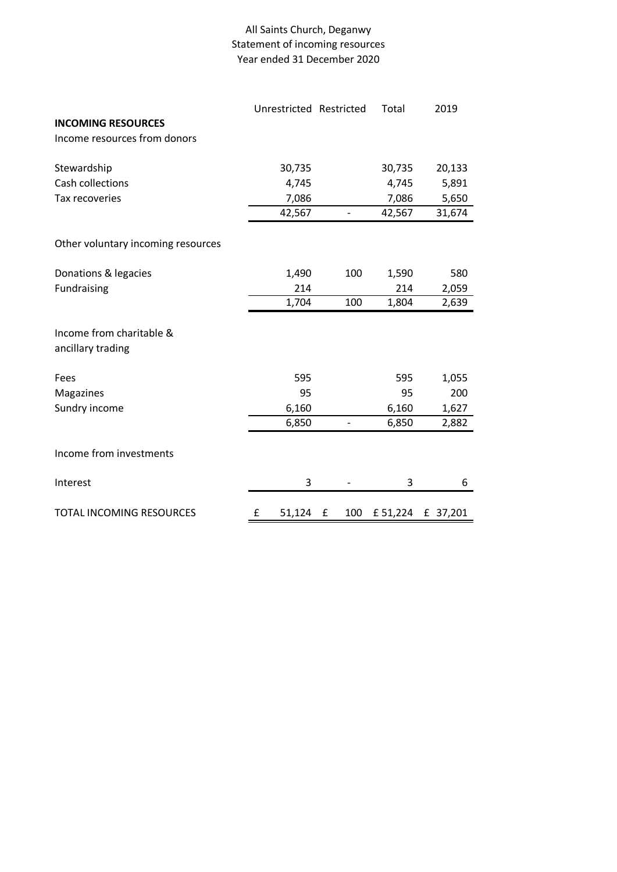## All Saints Church, Deganwy Statement of incoming resources Year ended 31 December 2020

|                                    | Unrestricted Restricted |          | Total    | 2019     |
|------------------------------------|-------------------------|----------|----------|----------|
| <b>INCOMING RESOURCES</b>          |                         |          |          |          |
| Income resources from donors       |                         |          |          |          |
|                                    |                         |          |          |          |
| Stewardship                        | 30,735                  |          | 30,735   | 20,133   |
| Cash collections                   | 4,745                   |          | 4,745    | 5,891    |
| Tax recoveries                     | 7,086                   |          | 7,086    | 5,650    |
|                                    | 42,567                  |          | 42,567   | 31,674   |
| Other voluntary incoming resources |                         |          |          |          |
| Donations & legacies               | 1,490                   | 100      | 1,590    | 580      |
| Fundraising                        | 214                     |          | 214      | 2,059    |
|                                    | 1,704                   | 100      | 1,804    | 2,639    |
|                                    |                         |          |          |          |
| Income from charitable &           |                         |          |          |          |
| ancillary trading                  |                         |          |          |          |
| Fees                               | 595                     |          | 595      | 1,055    |
| Magazines                          | 95                      |          | 95       | 200      |
| Sundry income                      | 6,160                   |          | 6,160    | 1,627    |
|                                    | 6,850                   |          | 6,850    | 2,882    |
|                                    |                         |          |          |          |
| Income from investments            |                         |          |          |          |
| Interest                           | 3                       |          | 3        | 6        |
| TOTAL INCOMING RESOURCES           | £<br>51,124             | 100<br>£ | £ 51,224 | £ 37,201 |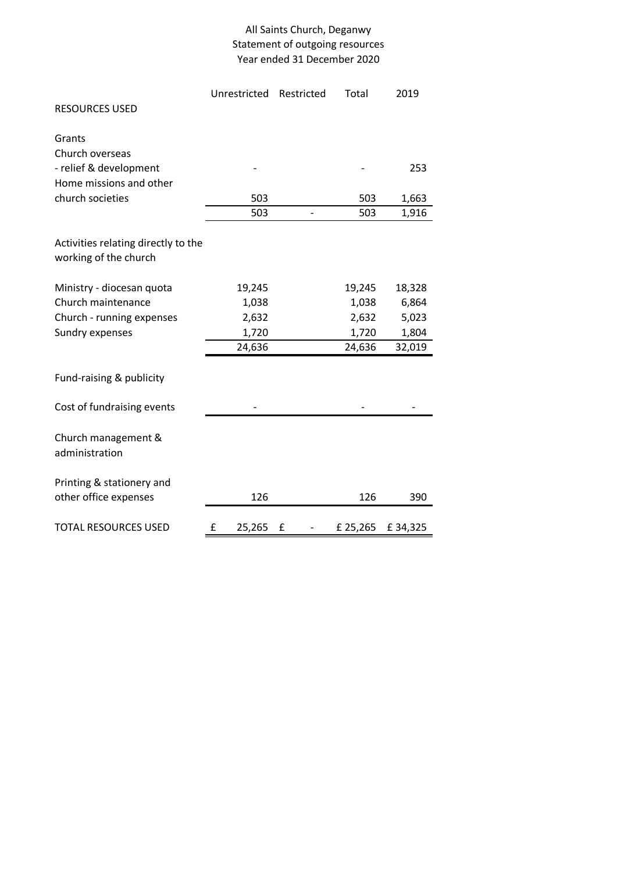## All Saints Church, Deganwy Statement of outgoing resources Year ended 31 December 2020

|                                     | Unrestricted | Restricted               | Total    | 2019    |  |
|-------------------------------------|--------------|--------------------------|----------|---------|--|
| <b>RESOURCES USED</b>               |              |                          |          |         |  |
| Grants                              |              |                          |          |         |  |
| Church overseas                     |              |                          |          |         |  |
|                                     |              |                          |          |         |  |
| - relief & development              |              |                          |          | 253     |  |
| Home missions and other             |              |                          |          |         |  |
| church societies                    | 503          |                          | 503      | 1,663   |  |
|                                     | 503          | $\overline{\phantom{0}}$ | 503      | 1,916   |  |
|                                     |              |                          |          |         |  |
| Activities relating directly to the |              |                          |          |         |  |
| working of the church               |              |                          |          |         |  |
|                                     |              |                          |          |         |  |
| Ministry - diocesan quota           | 19,245       |                          | 19,245   | 18,328  |  |
| Church maintenance                  | 1,038        |                          | 1,038    | 6,864   |  |
| Church - running expenses           | 2,632        |                          | 2,632    | 5,023   |  |
| Sundry expenses                     | 1,720        |                          | 1,720    | 1,804   |  |
|                                     | 24,636       |                          | 24,636   | 32,019  |  |
|                                     |              |                          |          |         |  |
| Fund-raising & publicity            |              |                          |          |         |  |
|                                     |              |                          |          |         |  |
| Cost of fundraising events          |              |                          |          |         |  |
|                                     |              |                          |          |         |  |
| Church management &                 |              |                          |          |         |  |
| administration                      |              |                          |          |         |  |
|                                     |              |                          |          |         |  |
| Printing & stationery and           |              |                          |          |         |  |
| other office expenses               | 126          |                          | 126      | 390     |  |
|                                     |              |                          |          |         |  |
| <b>TOTAL RESOURCES USED</b>         | £<br>25,265  | £                        | £ 25,265 | £34,325 |  |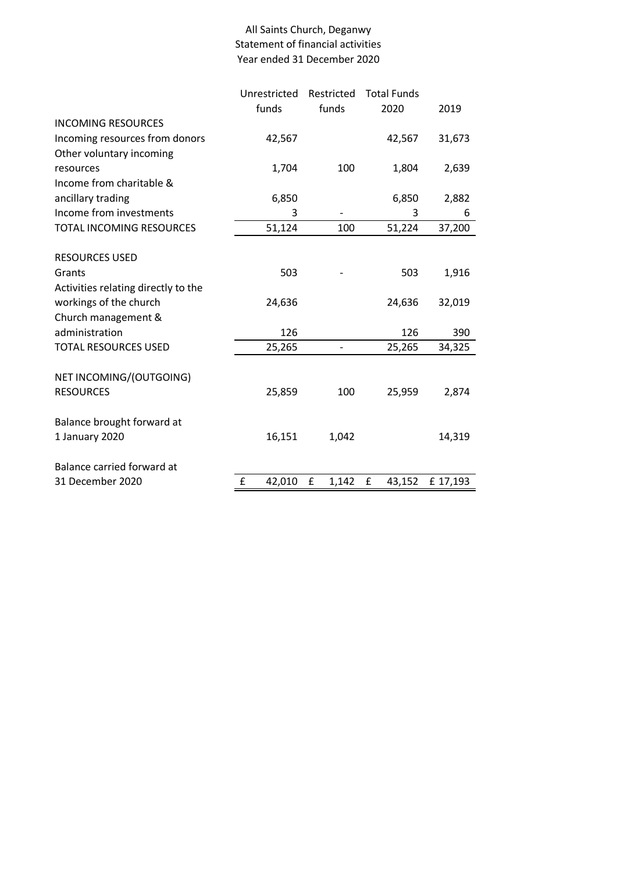## All Saints Church, Deganwy Statement of financial activities Year ended 31 December 2020

|                                     | Unrestricted | Restricted | <b>Total Funds</b> |          |
|-------------------------------------|--------------|------------|--------------------|----------|
|                                     | funds        | funds      | 2020               | 2019     |
| <b>INCOMING RESOURCES</b>           |              |            |                    |          |
| Incoming resources from donors      | 42,567       |            | 42,567             | 31,673   |
| Other voluntary incoming            |              |            |                    |          |
| resources                           | 1,704        | 100        | 1,804              | 2,639    |
| Income from charitable &            |              |            |                    |          |
| ancillary trading                   | 6,850        |            | 6,850              | 2,882    |
| Income from investments             | 3            |            | 3                  | 6        |
| TOTAL INCOMING RESOURCES            | 51,124       | 100        | 51,224             | 37,200   |
|                                     |              |            |                    |          |
| <b>RESOURCES USED</b>               |              |            |                    |          |
| Grants                              | 503          |            | 503                | 1,916    |
| Activities relating directly to the |              |            |                    |          |
| workings of the church              | 24,636       |            | 24,636             | 32,019   |
| Church management &                 |              |            |                    |          |
| administration                      | 126          |            | 126                | 390      |
| <b>TOTAL RESOURCES USED</b>         | 25,265       |            | 25,265             | 34,325   |
|                                     |              |            |                    |          |
| NET INCOMING/(OUTGOING)             |              |            |                    |          |
| <b>RESOURCES</b>                    | 25,859       | 100        | 25,959             | 2,874    |
| Balance brought forward at          |              |            |                    |          |
| 1 January 2020                      | 16,151       | 1,042      |                    | 14,319   |
|                                     |              |            |                    |          |
| Balance carried forward at          |              |            |                    |          |
| 31 December 2020                    | £<br>42,010  | £<br>1,142 | £<br>43,152        | £ 17,193 |
|                                     |              |            |                    |          |